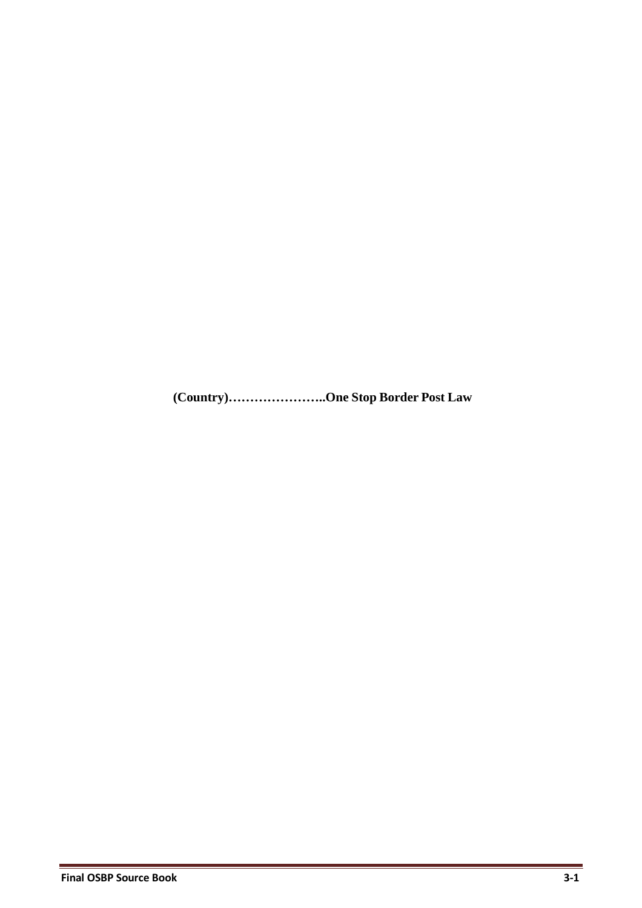**(Country)…………………..One Stop Border Post Law**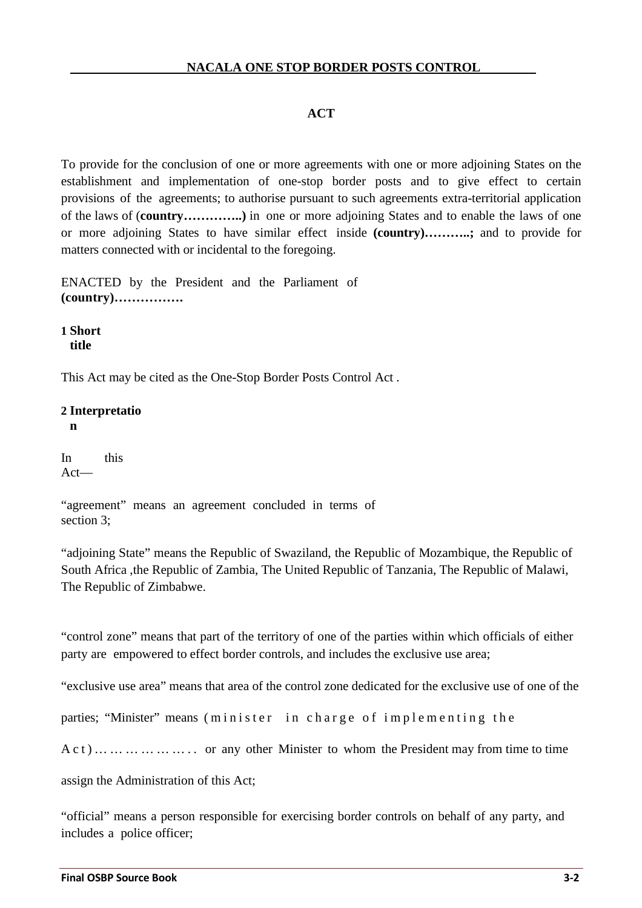# **ACT**

To provide for the conclusion of one or more agreements with one or more adjoining States on the establishment and implementation of one-stop border posts and to give effect to certain provisions of the agreements; to authorise pursuant to such agreements extra-territorial application of the laws of (**country…………..)** in one or more adjoining States and to enable the laws of one or more adjoining States to have similar effect inside **(country)………..;** and to provide for matters connected with or incidental to the foregoing.

ENACTED by the President and the Parliament of **(country)…………….**

**1 Short title** 

This Act may be cited as the One-Stop Border Posts Control Act .

## **2 Interpretatio**

**n**

In this Act—

"agreement" means an agreement concluded in terms of section 3;

"adjoining State" means the Republic of Swaziland, the Republic of Mozambique, the Republic of South Africa ,the Republic of Zambia, The United Republic of Tanzania, The Republic of Malawi, The Republic of Zimbabwe.

"control zone" means that part of the territory of one of the parties within which officials of either party are empowered to effect border controls, and includes the exclusive use area;

"exclusive use area" means that area of the control zone dedicated for the exclusive use of one of the

parties; "Minister" means (minister in charge of implementing the

A c t ) … … … … … … . . or any other Minister to whom the President may from time to time

assign the Administration of this Act;

"official" means a person responsible for exercising border controls on behalf of any party, and includes a police officer;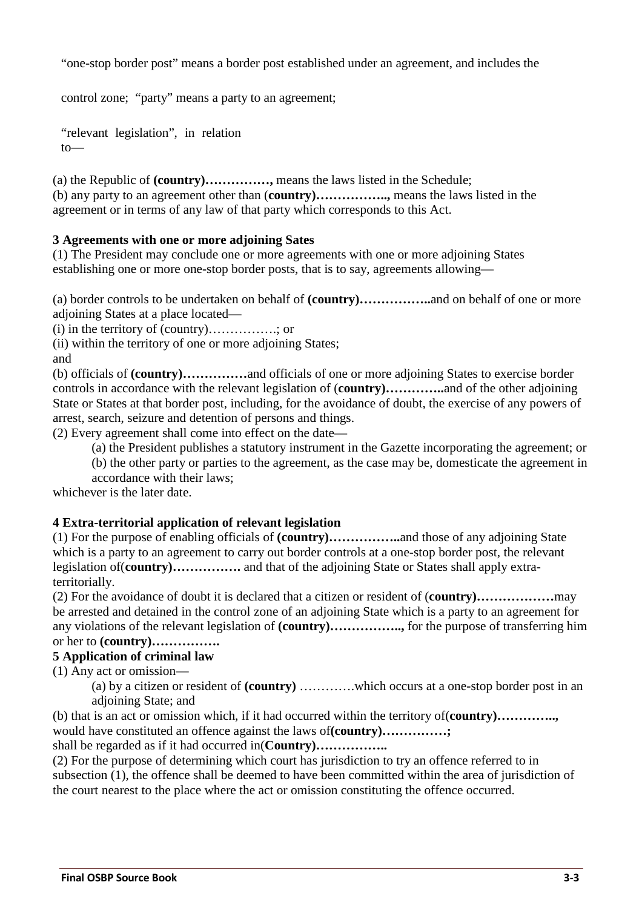"one-stop border post" means a border post established under an agreement, and includes the

control zone; "party" means a party to an agreement;

"relevant legislation", in relation to—

(a) the Republic of **(country)……………,** means the laws listed in the Schedule; (b) any party to an agreement other than (**country)……………..,** means the laws listed in the agreement or in terms of any law of that party which corresponds to this Act.

### **3 Agreements with one or more adjoining Sates**

(1) The President may conclude one or more agreements with one or more adjoining States establishing one or more one-stop border posts, that is to say, agreements allowing—

(a) border controls to be undertaken on behalf of **(country)……………..**and on behalf of one or more adjoining States at a place located—

(i) in the territory of (country)…………….; or

(ii) within the territory of one or more adjoining States;

and

(b) officials of **(country)……………**and officials of one or more adjoining States to exercise border controls in accordance with the relevant legislation of (**country)…………..**and of the other adjoining State or States at that border post, including, for the avoidance of doubt, the exercise of any powers of arrest, search, seizure and detention of persons and things.

(2) Every agreement shall come into effect on the date—

(a) the President publishes a statutory instrument in the Gazette incorporating the agreement; or

(b) the other party or parties to the agreement, as the case may be, domesticate the agreement in

accordance with their laws;

whichever is the later date.

#### **4 Extra-territorial application of relevant legislation**

(1) For the purpose of enabling officials of **(country)……………..**and those of any adjoining State which is a party to an agreement to carry out border controls at a one-stop border post, the relevant legislation of(**country)…………….** and that of the adjoining State or States shall apply extraterritorially.

(2) For the avoidance of doubt it is declared that a citizen or resident of (**country)………………**may be arrested and detained in the control zone of an adjoining State which is a party to an agreement for any violations of the relevant legislation of **(country)……………..,** for the purpose of transferring him or her to **(country)…………….**

### **5 Application of criminal law**

(1) Any act or omission—

(a) by a citizen or resident of **(country)** ………….which occurs at a one-stop border post in an adjoining State; and

(b) that is an act or omission which, if it had occurred within the territory of(**country)…………..,** would have constituted an offence against the laws of**(country)……………;**

shall be regarded as if it had occurred in(**Country)……………..**

(2) For the purpose of determining which court has jurisdiction to try an offence referred to in subsection (1), the offence shall be deemed to have been committed within the area of jurisdiction of the court nearest to the place where the act or omission constituting the offence occurred.